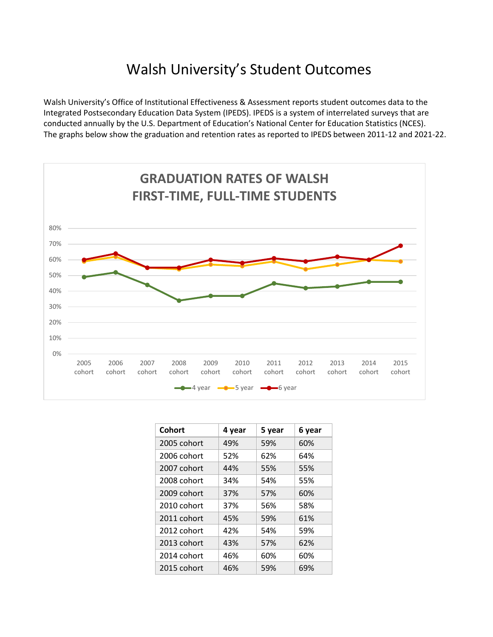## Walsh University's Student Outcomes

Walsh University's Office of Institutional Effectiveness & Assessment reports student outcomes data to the Integrated Postsecondary Education Data System (IPEDS). IPEDS is a system of interrelated surveys that are conducted annually by the U.S. Department of Education's National Center for Education Statistics (NCES). The graphs below show the graduation and retention rates as reported to IPEDS between 2011-12 and 2021-22.



| Cohort      | 4 year | 5 year | 6 year |
|-------------|--------|--------|--------|
| 2005 cohort | 49%    | 59%    | 60%    |
| 2006 cohort | 52%    | 62%    | 64%    |
| 2007 cohort | 44%    | 55%    | 55%    |
| 2008 cohort | 34%    | 54%    | 55%    |
| 2009 cohort | 37%    | 57%    | 60%    |
| 2010 cohort | 37%    | 56%    | 58%    |
| 2011 cohort | 45%    | 59%    | 61%    |
| 2012 cohort | 42%    | 54%    | 59%    |
| 2013 cohort | 43%    | 57%    | 62%    |
| 2014 cohort | 46%    | 60%    | 60%    |
| 2015 cohort | 46%    | 59%    | 69%    |